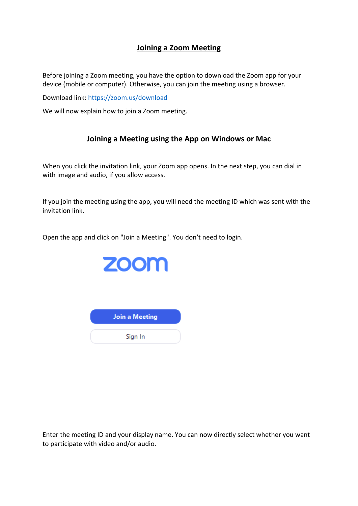## **Joining a Zoom Meeting**

Before joining a Zoom meeting, you have the option to download the Zoom app for your device (mobile or computer). Otherwise, you can join the meeting using a browser.

Download link: <https://zoom.us/download>

We will now explain how to join a Zoom meeting.

### **Joining a Meeting using the App on Windows or Mac**

When you click the invitation link, your Zoom app opens. In the next step, you can dial in with image and audio, if you allow access.

If you join the meeting using the app, you will need the meeting ID which was sent with the invitation link.

Open the app and click on "Join a Meeting". You don't need to login.



| <b>Join a Meeting</b> |  |
|-----------------------|--|
|                       |  |
| Sign In               |  |

Enter the meeting ID and your display name. You can now directly select whether you want to participate with video and/or audio.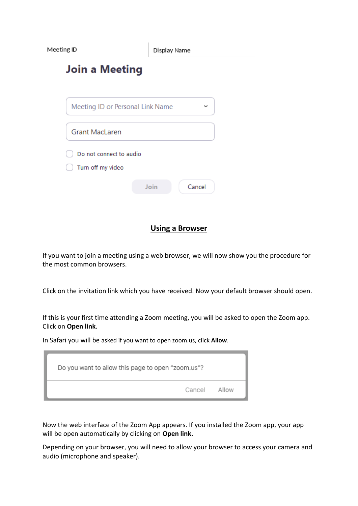Meeting ID

Display Name

# **Join a Meeting**

| Meeting ID or Personal Link Name             |      |        |
|----------------------------------------------|------|--------|
| <b>Grant MacLaren</b>                        |      |        |
| Do not connect to audio<br>Turn off my video |      |        |
|                                              | Join | Cancel |

#### **Using a Browser**

If you want to join a meeting using a web browser, we will now show you the procedure for the most common browsers.

Click on the invitation link which you have received. Now your default browser should open.

If this is your first time attending a Zoom meeting, you will be asked to open the Zoom app. Click on **Open link**.

In Safari you will be asked if you want to open zoom.us, click **Allow**.

| Do you want to allow this page to open "zoom.us"? |  |  |
|---------------------------------------------------|--|--|
| Cancel Allow                                      |  |  |

Now the web interface of the Zoom App appears. If you installed the Zoom app, your app will be open automatically by clicking on **Open link.**

Depending on your browser, you will need to allow your browser to access your camera and audio (microphone and speaker).